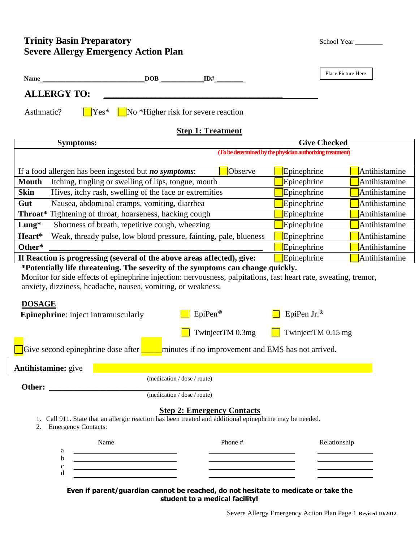# **Trinity Basin Preparatory Severe Allergy Emergency Action Plan**

| School Year |  |  |
|-------------|--|--|
|-------------|--|--|

| <b>Name</b>                                                                                                                                                                                                                                                               | $\overline{\text{DOB}}$ $\overline{\text{IDH}}$                                                                                                            |                  |                                                           | Place Picture Here |
|---------------------------------------------------------------------------------------------------------------------------------------------------------------------------------------------------------------------------------------------------------------------------|------------------------------------------------------------------------------------------------------------------------------------------------------------|------------------|-----------------------------------------------------------|--------------------|
|                                                                                                                                                                                                                                                                           | <b>ALLERGY TO:</b>                                                                                                                                         |                  |                                                           |                    |
|                                                                                                                                                                                                                                                                           |                                                                                                                                                            |                  |                                                           |                    |
| Asthmatic?                                                                                                                                                                                                                                                                | No *Higher risk for severe reaction<br>$Yes*$                                                                                                              |                  |                                                           |                    |
|                                                                                                                                                                                                                                                                           | <b>Step 1: Treatment</b>                                                                                                                                   |                  |                                                           |                    |
|                                                                                                                                                                                                                                                                           | <b>Symptoms:</b>                                                                                                                                           |                  | <b>Give Checked</b>                                       |                    |
|                                                                                                                                                                                                                                                                           |                                                                                                                                                            |                  | (To be determined by the physician authorizing treatment) |                    |
|                                                                                                                                                                                                                                                                           | If a food allergen has been ingested but <i>no symptoms</i> :                                                                                              | Observe          | Epinephrine                                               | Antihistamine      |
| <b>Mouth</b>                                                                                                                                                                                                                                                              | Itching, tingling or swelling of lips, tongue, mouth                                                                                                       |                  | Epinephrine                                               | Antihistamine      |
| <b>Skin</b>                                                                                                                                                                                                                                                               | Hives, itchy rash, swelling of the face or extremities                                                                                                     |                  | Epinephrine                                               | Antihistamine      |
| Gut                                                                                                                                                                                                                                                                       | Nausea, abdominal cramps, vomiting, diarrhea                                                                                                               |                  | Epinephrine                                               | Antihistamine      |
|                                                                                                                                                                                                                                                                           | Throat* Tightening of throat, hoarseness, hacking cough                                                                                                    |                  | Epinephrine                                               | Antihistamine      |
| $Lung*$                                                                                                                                                                                                                                                                   | Shortness of breath, repetitive cough, wheezing                                                                                                            |                  | Epinephrine                                               | Antihistamine      |
| Heart*<br>Weak, thready pulse, low blood pressure, fainting, pale, blueness                                                                                                                                                                                               |                                                                                                                                                            | Epinephrine      | Antihistamine                                             |                    |
| Other*                                                                                                                                                                                                                                                                    |                                                                                                                                                            | Epinephrine      | Antihistamine                                             |                    |
|                                                                                                                                                                                                                                                                           | If Reaction is progressing (several of the above areas affected), give:<br>*Potentially life threatening. The severity of the symptoms can change quickly. |                  | Epinephrine                                               | Antihistamine      |
| Monitor for side effects of epinephrine injection: nervousness, palpitations, fast heart rate, sweating, tremor,<br>anxiety, dizziness, headache, nausea, vomiting, or weakness.<br><b>DOSAGE</b><br>EpiPen®<br>EpiPen Jr.®<br><b>Epinephrine:</b> inject intramuscularly |                                                                                                                                                            |                  |                                                           |                    |
|                                                                                                                                                                                                                                                                           |                                                                                                                                                            | TwinjectTM 0.3mg | TwinjectTM 0.15 mg                                        |                    |
| Give second epinephrine dose after<br>minutes if no improvement and EMS has not arrived.                                                                                                                                                                                  |                                                                                                                                                            |                  |                                                           |                    |
| Antihistamine: give                                                                                                                                                                                                                                                       |                                                                                                                                                            |                  |                                                           |                    |
|                                                                                                                                                                                                                                                                           | (medication / dose / route)                                                                                                                                |                  |                                                           |                    |
| (medication / dose / route)                                                                                                                                                                                                                                               |                                                                                                                                                            |                  |                                                           |                    |
|                                                                                                                                                                                                                                                                           | <b>Step 2: Emergency Contacts</b>                                                                                                                          |                  |                                                           |                    |
| Call 911. State that an allergic reaction has been treated and additional epinephrine may be needed.<br>1.<br><b>Emergency Contacts:</b><br>2.                                                                                                                            |                                                                                                                                                            |                  |                                                           |                    |
|                                                                                                                                                                                                                                                                           | Name<br>a<br><u> 1989 - Johann Barn, amerikansk politiker (d. 1989)</u><br>b<br><u> 1989 - Johann Barbara, martxa amerikan personal (</u>                  | Phone #          |                                                           | Relationship       |
|                                                                                                                                                                                                                                                                           | $\mathbf c$<br>the control of the control of the control of the control of the control of<br>d<br><u> 1990 - Johann Barn, mars ann an t-Amhain</u>         |                  |                                                           |                    |

## **Even if parent/guardian cannot be reached, do not hesitate to medicate or take the student to a medical facility!**

Severe Allergy Emergency Action Plan Page 1 **Revised 10/2012**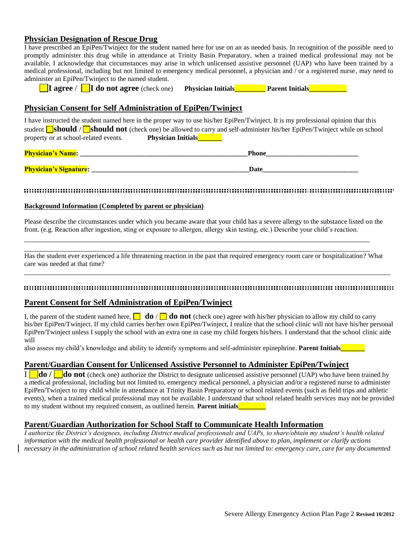## **Physician Designation of Rescue Drug**

I have prescribed an EpiPen/Twinject for the student named here for use on an as needed basis. In recognition of the possible need to promptly administer this drug while in attendance at Trinity Basin Preparatory, when a trained medical professional may not be available, I acknowledge that circumstances may arise in which unlicensed assistive personnel (UAP) who have been trained by a medical professional, including but not limited to emergency medical personnel, a physician and / or a registered nurse, may need to administer an EpiPen/Twinject to the named student.

**I** agree / **I** do not agree (check one) **Physician Initials Parent Initials** 

## **Physician Consent for Self Administration of EpiPen/Twinject**

I have instructed the student named here in the proper way to use his/her EpiPen/Twinject. It is my professional opinion that this student **Should / should not** (check one) be allowed to carry and self-administer his/her EpiPen/Twinject while on school property or at school-related events. **Physician Initials** 

| <b>Physician's Name:</b>      | Phone |  |
|-------------------------------|-------|--|
|                               |       |  |
| <b>Physician's Signature:</b> | Date  |  |

#### 

### **Background Information (Completed by parent or physician)**

Please describe the circumstances under which you became aware that your child has a severe allergy to the substance listed on the front. (e.g. Reaction after ingestion, sting or exposure to allergen, allergy skin testing, etc.) Describe your child's reaction.

Has the student ever experienced a life threatening reaction in the past that required emergency room care or hospitalization? What care was needed at that time?

### 

### **Parent Consent for Self Administration of EpiPen/Twinject**

I, the parent of the student named here,  $\Box$  **do** /  $\Box$  **do not** (check one) agree with his/her physician to allow my child to carry his/her EpiPen/Twinject. If my child carries her/her own EpiPen/Twinject, I realize that the school clinic will not have his/her personal EpiPen/Twinject unless I supply the school with an extra one in case my child forgets his/hers. I understand that the school clinic aide will

also assess my child's knowledge and ability to identify symptoms and self-administer epinephrine. **Parent Initials** 

## **Parent/Guardian Consent for Unlicensed Assistive Personnel to Administer EpiPen/Twinject**

**l do** / **do not** (check one) authorize the District to designate unlicensed assistive personnel (UAP) who have been trained by a medical professional, including but not limited to, emergency medical personnel, a physician and/or a registered nurse to administer EpiPen/Twinject to my child while in attendance at Trinity Basin Preparatory or school related events (such as field trips and athletic events), when a trained medical professional may not be available. I understand that school related health services may not be provided to my student without my required consent, as outlined herein. **Parent initials** 

### **Parent/Guardian Authorization for School Staff to Communicate Health Information**

*I authorize the District's designees, including District medical professionals and UAPs, to share/obtain my student's health related information with the medical health professional or health care provider identified above to plan, implement or clarify actions necessary in the administration of school related health services such as but not limited to: emergency care, care for any documented*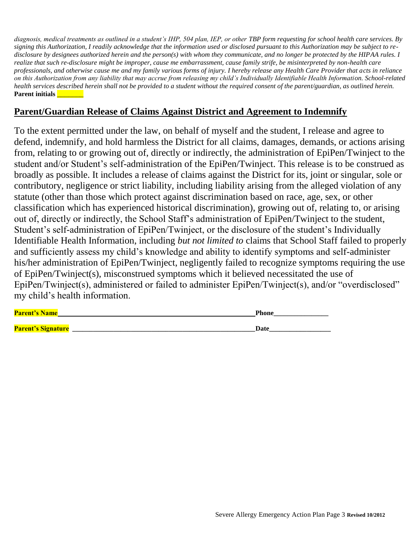*diagnosis, medical treatments as outlined in a student's IHP, 504 plan, IEP, or other TBP form requesting for school health care services. By signing this Authorization, I readily acknowledge that the information used or disclosed pursuant to this Authorization may be subject to redisclosure by designees authorized herein and the person(s) with whom they communicate, and no longer be protected by the HIPAA rules. I realize that such re-disclosure might be improper, cause me embarrassment, cause family strife, be misinterpreted by non-health care professionals, and otherwise cause me and my family various forms of injury. I hereby release any Health Care Provider that acts in reliance on this Authorization from any liability that may accrue from releasing my child's Individually Identifiable Health Information. School-related health services described herein shall not be provided to a student without the required consent of the parent/guardian, as outlined herein.*  **Parent initials** 

## **Parent/Guardian Release of Claims Against District and Agreement to Indemnify**

To the extent permitted under the law, on behalf of myself and the student, I release and agree to defend, indemnify, and hold harmless the District for all claims, damages, demands, or actions arising from, relating to or growing out of, directly or indirectly, the administration of EpiPen/Twinject to the student and/or Student's self-administration of the EpiPen/Twinject. This release is to be construed as broadly as possible. It includes a release of claims against the District for its, joint or singular, sole or contributory, negligence or strict liability, including liability arising from the alleged violation of any statute (other than those which protect against discrimination based on race, age, sex, or other classification which has experienced historical discrimination), growing out of, relating to, or arising out of, directly or indirectly, the School Staff's administration of EpiPen/Twinject to the student, Student's self-administration of EpiPen/Twinject, or the disclosure of the student's Individually Identifiable Health Information, including *but not limited to* claims that School Staff failed to properly and sufficiently assess my child's knowledge and ability to identify symptoms and self-administer his/her administration of EpiPen/Twinject, negligently failed to recognize symptoms requiring the use of EpiPen/Twinject(s), misconstrued symptoms which it believed necessitated the use of EpiPen/Twinject(s), administered or failed to administer EpiPen/Twinject(s), and/or "overdisclosed" my child's health information.

| <b>Parent's Name</b>      | Phone |
|---------------------------|-------|
| <b>Parent's Signature</b> |       |
|                           |       |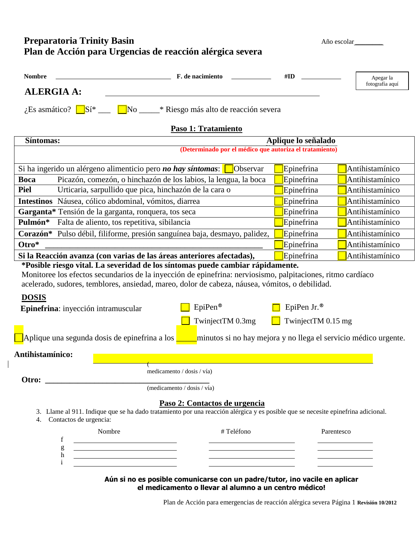# **Preparatoria Trinity Basin** Año escolar Año escolar Año escolar Año escolar Año escolar Año escolar Año escolar Año escolar Año escolar Año escolar Año escolar Año escolar Año escolar Año escolar Año escolar Año escolar A **Plan de Acción para Urgencias de reacción alérgica severa**

 $\mathbf{I}$ 

| <b>Nombre</b>                                                                                                                                                                                                                                                                                                                                            | F. de nacimiento                                                                                                         | #ID                                                     | Apegar la<br>fotografía aquí |
|----------------------------------------------------------------------------------------------------------------------------------------------------------------------------------------------------------------------------------------------------------------------------------------------------------------------------------------------------------|--------------------------------------------------------------------------------------------------------------------------|---------------------------------------------------------|------------------------------|
| <b>ALERGIA A:</b>                                                                                                                                                                                                                                                                                                                                        |                                                                                                                          |                                                         |                              |
|                                                                                                                                                                                                                                                                                                                                                          | No _____* Riesgo más alto de reacción severa<br>$i$ Es asmático? $\Box$ Sí* ___                                          |                                                         |                              |
|                                                                                                                                                                                                                                                                                                                                                          | Paso 1: Tratamiento                                                                                                      |                                                         |                              |
| Síntomas:                                                                                                                                                                                                                                                                                                                                                |                                                                                                                          | Aplique lo señalado                                     |                              |
|                                                                                                                                                                                                                                                                                                                                                          |                                                                                                                          | (Determinado por el médico que autoriza el tratamiento) |                              |
|                                                                                                                                                                                                                                                                                                                                                          | Si ha ingerido un alérgeno alimenticio pero <i>no hay síntomas</i> :<br>Observar                                         | Epinefrina                                              | Antihistamínico              |
| <b>Boca</b>                                                                                                                                                                                                                                                                                                                                              | Picazón, comezón, o hinchazón de los labios, la lengua, la boca                                                          | Epinefrina                                              | Antihistamínico              |
| <b>Piel</b>                                                                                                                                                                                                                                                                                                                                              | Urticaria, sarpullido que pica, hinchazón de la cara o                                                                   | Epinefrina                                              | Antihistamínico              |
|                                                                                                                                                                                                                                                                                                                                                          | Intestinos Náusea, cólico abdominal, vómitos, diarrea                                                                    | Epinefrina                                              | Antihistamínico              |
|                                                                                                                                                                                                                                                                                                                                                          | Garganta* Tensión de la garganta, ronquera, tos seca                                                                     | Epinefrina                                              | Antihistamínico              |
| Pulmón*                                                                                                                                                                                                                                                                                                                                                  | Falta de aliento, tos repetitiva, sibilancia                                                                             |                                                         | Antihistamínico              |
| Corazón* Pulso débil, filiforme, presión sanguínea baja, desmayo, palidez,                                                                                                                                                                                                                                                                               |                                                                                                                          | Epinefrina                                              | Antihistamínico              |
| Otro*                                                                                                                                                                                                                                                                                                                                                    |                                                                                                                          | Epinefrina                                              | Antihistamínico              |
| Si la Reacción avanza (con varias de las áreas anteriores afectadas),<br>Epinefrina<br>Antihistamínico                                                                                                                                                                                                                                                   |                                                                                                                          |                                                         |                              |
| *Posible riesgo vital. La severidad de los síntomas puede cambiar rápidamente.<br>Monitoree los efectos secundarios de la inyección de epinefrina: nerviosismo, palpitaciones, ritmo cardíaco<br>acelerado, sudores, temblores, ansiedad, mareo, dolor de cabeza, náusea, vómitos, o debilidad.                                                          |                                                                                                                          |                                                         |                              |
| <b>DOSIS</b><br>$EpiPen^{\otimes}$<br>EpiPen Jr.®<br>Epinefrina: inyección intramuscular                                                                                                                                                                                                                                                                 |                                                                                                                          |                                                         |                              |
|                                                                                                                                                                                                                                                                                                                                                          | TwinjectTM 0.3mg                                                                                                         | TwinjectTM 0.15 mg                                      |                              |
| Aplique una segunda dosis de epinefrina a los<br>minutos si no hay mejora y no llega el servicio médico urgente.                                                                                                                                                                                                                                         |                                                                                                                          |                                                         |                              |
| Antihistamínico:                                                                                                                                                                                                                                                                                                                                         |                                                                                                                          |                                                         |                              |
|                                                                                                                                                                                                                                                                                                                                                          | medicamento / dosis / vía)                                                                                               |                                                         |                              |
| Otro:<br><u> 1989 - Jan James James Barbara, president e</u><br>(mediçamento / dosis / vía)                                                                                                                                                                                                                                                              |                                                                                                                          |                                                         |                              |
| Paso 2: Contactos de urgencia                                                                                                                                                                                                                                                                                                                            |                                                                                                                          |                                                         |                              |
| 3. Llame al 911. Indique que se ha dado tratamiento por una reacción alérgica y es posible que se necesite epinefrina adicional.<br>Contactos de urgencia:<br>4.                                                                                                                                                                                         |                                                                                                                          |                                                         |                              |
|                                                                                                                                                                                                                                                                                                                                                          | Nombre<br>#Teléfono                                                                                                      | Parentesco                                              |                              |
|                                                                                                                                                                                                                                                                                                                                                          | f<br><u> 1980 - Johann Barn, mars eta bainar eta baina eta baina eta baina eta baina eta baina eta baina eta baina e</u> |                                                         |                              |
| g<br><u> 1989 - Johann Barbara, martin amerikan basar dan berasal dalam basar dalam basar dalam basar dalam basar dala</u><br>h<br><u> 1989 - Johann Barn, mars ann an t-Amhain Aonaich an t-Aonaich an t-Aonaich an t-Aonaich an t-Aonaich ann an t-</u><br>$\mathbf{i}$<br><u> 1989 - Johann Stein, mars an deus an deus Amerikaansk kommunister (</u> |                                                                                                                          |                                                         |                              |
|                                                                                                                                                                                                                                                                                                                                                          |                                                                                                                          |                                                         |                              |

Aún si no es posible comunicarse con un padre/tutor, ino vacile en aplicar **el medicamento o llevar al alumno a un centro médico!**

Plan de Acción para emergencias de reacción alérgica severa Página 1 **Revisión 10/2012**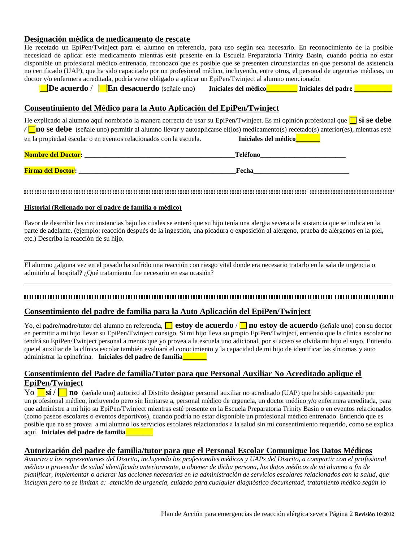## **Designación médica de medicamento de rescate**

He recetado un EpiPen/Twinject para el alumno en referencia, para uso según sea necesario. En reconocimiento de la posible necesidad de aplicar este medicamento mientras esté presente en la Escuela Preparatoria Trinity Basin, cuando podría no estar disponible un profesional médico entrenado, reconozco que es posible que se presenten circunstancias en que personal de asistencia no certificado (UAP), que ha sido capacitado por un profesional médico, incluyendo, entre otros, el personal de urgencias médicas, un doctor y/o enfermera acreditada, podría verse obligado a aplicar un EpiPen/Twinject al alumno mencionado.

**De acuerdo** / **En desacuerdo** (señale uno) **Iniciales del médico\_\_\_\_\_\_\_\_\_ Iniciales del padre \_\_\_\_\_\_\_\_\_\_\_**

### **Consentimiento del Médico para la Auto Aplicación del EpiPen/Twinject**

He explicado al alumno aquí nombrado la manera correcta de usar su EpiPen/Twinject. Es mi opinión profesional que **sí se debe**  */* **no se debe** (señale uno) permitir al alumno llevar y autoaplicarse el(los) medicamento(s) recetado(s) anterior(es), mientras esté en la propiedad escolar o en eventos relacionados con la escuela. **Iniciales del médico** 

| <b>Nombre del Doctor:</b> | Taláfor. |
|---------------------------|----------|
| <b>Firma del Doctor:</b>  | Fech     |

#### 

#### **Historial (Rellenado por el padre de familia o médico)**

Favor de describir las circunstancias bajo las cuales se enteró que su hijo tenía una alergia severa a la sustancia que se indica en la parte de adelante. (ejemplo: reacción después de la ingestión, una picadura o exposición al alérgeno, prueba de alérgenos en la piel, etc.) Describa la reacción de su hijo.

El alumno ¿alguna vez en el pasado ha sufrido una reacción con riesgo vital donde era necesario tratarlo en la sala de urgencia o admitirlo al hospital? ¿Qué tratamiento fue necesario en esa ocasión?

### 

### **Consentimiento del padre de familia para la Auto Aplicación del EpiPen/Twinject**

Yo, el padre/madre/tutor del alumno en referencia, **□ estoy de acuerdo** / **□ no estoy de acuerdo** (señale uno) con su doctor en permitir a mi hijo llevar su EpiPen/Twinject consigo. Si mi hijo lleva su propio EpiPen/Twinject, entiendo que la clínica escolar no tendrá su EpiPen/Twinject personal a menos que yo provea a la escuela uno adicional, por si acaso se olvida mi hijo el suyo. Entiendo que el auxiliar de la clínica escolar también evaluará el conocimiento y la capacidad de mi hijo de identificar las síntomas y auto administrar la epinefrina. **Iniciales del padre de familia\_\_\_\_\_\_\_**

## **Consentimiento del Padre de familia/Tutor para que Personal Auxiliar No Acreditado aplique el EpiPen/Twinject**

Yo **sí / no** (señale uno) autorizo al Distrito designar personal auxiliar no acreditado (UAP) que ha sido capacitado por un profesional médico, incluyendo pero sin limitarse a, personal médico de urgencia, un doctor médico y/o enfermera acreditada, para que administre a mi hijo su EpiPen/Twinject mientras esté presente en la Escuela Preparatoria Trinity Basin o en eventos relacionados (como paseos escolares o eventos deportivos), cuando podría no estar disponible un profesional médico entrenado. Entiendo que es posible que no se provea a mi alumno los servicios escolares relacionados a la salud sin mi consentimiento requerido, como se explica aquí. **Iniciales del padre de familia\_\_\_\_\_\_\_\_** 

### **Autorización del padre de familia/tutor para que el Personal Escolar Comunique los Datos Médicos**

*Autorizo a los representantes del Distrito, incluyendo los profesionales médicos y UAPs del Distrito, a compartir con el profesional médico o proveedor de salud identificado anteriormente, u obtener de dicha persona, los datos médicos de mi alumno a fin de planificar, implementar o aclarar las acciones necesarias en la administración de servicios escolares relacionados con la salud, que incluyen pero no se limitan a: atención de urgencia, cuidado para cualquier diagnóstico documentad, tratamiento médico según lo*